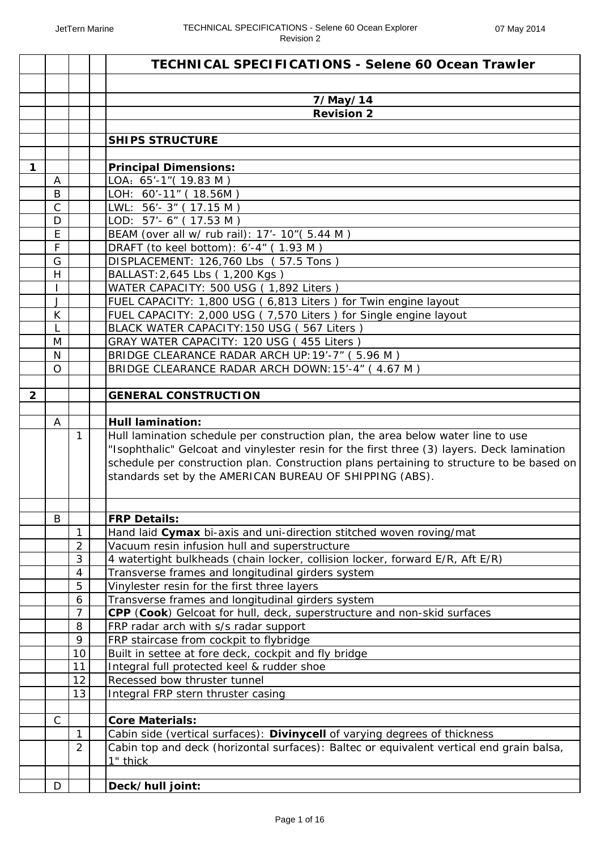|                |                |                     | TECHNICAL SPECIFICATIONS - Selene 60 Ocean Trawler                                                                                                                                                                                                                                                                                     |
|----------------|----------------|---------------------|----------------------------------------------------------------------------------------------------------------------------------------------------------------------------------------------------------------------------------------------------------------------------------------------------------------------------------------|
|                |                |                     |                                                                                                                                                                                                                                                                                                                                        |
|                |                |                     | 7/May/14                                                                                                                                                                                                                                                                                                                               |
|                |                |                     | <b>Revision 2</b>                                                                                                                                                                                                                                                                                                                      |
|                |                |                     | <b>SHIPS STRUCTURE</b>                                                                                                                                                                                                                                                                                                                 |
|                |                |                     |                                                                                                                                                                                                                                                                                                                                        |
| 1              |                |                     | <b>Principal Dimensions:</b>                                                                                                                                                                                                                                                                                                           |
|                | A              |                     | LOA: 65'-1" (19.83 M)                                                                                                                                                                                                                                                                                                                  |
|                | B              |                     | LOH: 60'-11" (18.56M)                                                                                                                                                                                                                                                                                                                  |
|                | $\overline{C}$ |                     | LWL: 56'-3" (17.15 M)                                                                                                                                                                                                                                                                                                                  |
|                | D              |                     | LOD: 57'- 6" (17.53 M)                                                                                                                                                                                                                                                                                                                 |
|                | E              |                     | BEAM (over all w/ rub rail): 17'- 10" (5.44 M)                                                                                                                                                                                                                                                                                         |
|                | $\mathsf F$    |                     | DRAFT (to keel bottom): 6'-4" (1.93 M)                                                                                                                                                                                                                                                                                                 |
|                | G              |                     | DISPLACEMENT: 126,760 Lbs (57.5 Tons)                                                                                                                                                                                                                                                                                                  |
|                | H              |                     | BALLAST: 2,645 Lbs (1,200 Kgs)                                                                                                                                                                                                                                                                                                         |
|                | L              |                     | WATER CAPACITY: 500 USG (1,892 Liters)                                                                                                                                                                                                                                                                                                 |
|                | J<br>K         |                     | FUEL CAPACITY: 1,800 USG (6,813 Liters) for Twin engine layout<br>FUEL CAPACITY: 2,000 USG (7,570 Liters) for Single engine layout                                                                                                                                                                                                     |
|                | L              |                     | BLACK WATER CAPACITY: 150 USG (567 Liters)                                                                                                                                                                                                                                                                                             |
|                | M              |                     | GRAY WATER CAPACITY: 120 USG (455 Liters)                                                                                                                                                                                                                                                                                              |
|                | N              |                     | BRIDGE CLEARANCE RADAR ARCH UP: 19'-7" (5.96 M)                                                                                                                                                                                                                                                                                        |
|                | $\circ$        |                     | BRIDGE CLEARANCE RADAR ARCH DOWN: 15'-4" (4.67 M)                                                                                                                                                                                                                                                                                      |
|                |                |                     |                                                                                                                                                                                                                                                                                                                                        |
| $\overline{2}$ |                |                     | <b>GENERAL CONSTRUCTION</b>                                                                                                                                                                                                                                                                                                            |
|                |                |                     |                                                                                                                                                                                                                                                                                                                                        |
|                | A              |                     | <b>Hull lamination:</b>                                                                                                                                                                                                                                                                                                                |
|                |                | 1                   | Hull lamination schedule per construction plan, the area below water line to use<br>"Isophthalic" Gelcoat and vinylester resin for the first three (3) layers. Deck lamination<br>schedule per construction plan. Construction plans pertaining to structure to be based on<br>standards set by the AMERICAN BUREAU OF SHIPPING (ABS). |
|                |                |                     |                                                                                                                                                                                                                                                                                                                                        |
|                | B              |                     | <b>FRP Details:</b>                                                                                                                                                                                                                                                                                                                    |
|                |                | 1<br>$\overline{2}$ | Hand laid Cymax bi-axis and uni-direction stitched woven roving/mat                                                                                                                                                                                                                                                                    |
|                |                | $\mathfrak{Z}$      | Vacuum resin infusion hull and superstructure<br>4 watertight bulkheads (chain locker, collision locker, forward E/R, Aft E/R)                                                                                                                                                                                                         |
|                |                | $\overline{4}$      | Transverse frames and longitudinal girders system                                                                                                                                                                                                                                                                                      |
|                |                | 5                   | Vinylester resin for the first three layers                                                                                                                                                                                                                                                                                            |
|                |                | 6                   | Transverse frames and longitudinal girders system                                                                                                                                                                                                                                                                                      |
|                |                | $\overline{7}$      | CPP (Cook) Gelcoat for hull, deck, superstructure and non-skid surfaces                                                                                                                                                                                                                                                                |
|                |                | 8                   | FRP radar arch with s/s radar support                                                                                                                                                                                                                                                                                                  |
|                |                | 9                   | FRP staircase from cockpit to flybridge                                                                                                                                                                                                                                                                                                |
|                |                | 10                  | Built in settee at fore deck, cockpit and fly bridge                                                                                                                                                                                                                                                                                   |
|                |                | 11                  | Integral full protected keel & rudder shoe                                                                                                                                                                                                                                                                                             |
|                |                | 12                  | Recessed bow thruster tunnel                                                                                                                                                                                                                                                                                                           |
|                |                | 13                  | Integral FRP stern thruster casing                                                                                                                                                                                                                                                                                                     |
|                | $\mathsf{C}$   |                     |                                                                                                                                                                                                                                                                                                                                        |
|                |                | $\mathbf{1}$        | <b>Core Materials:</b>                                                                                                                                                                                                                                                                                                                 |
|                |                | 2                   | Cabin side (vertical surfaces): Divinycell of varying degrees of thickness<br>Cabin top and deck (horizontal surfaces): Baltec or equivalent vertical end grain balsa,                                                                                                                                                                 |
|                |                |                     | 1" thick                                                                                                                                                                                                                                                                                                                               |
|                |                |                     |                                                                                                                                                                                                                                                                                                                                        |
|                | D              |                     | Deck/hull joint:                                                                                                                                                                                                                                                                                                                       |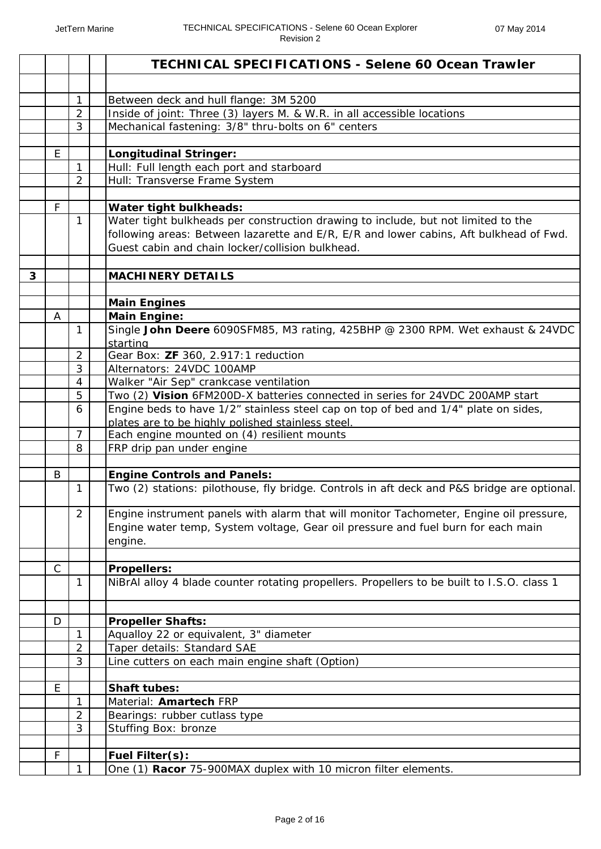|   |              |                                | <b>TECHNICAL SPECIFICATIONS - Selene 60 Ocean Trawler</b>                                   |
|---|--------------|--------------------------------|---------------------------------------------------------------------------------------------|
|   |              |                                |                                                                                             |
|   |              | 1                              | Between deck and hull flange: 3M 5200                                                       |
|   |              | $\overline{2}$                 | Inside of joint: Three (3) layers M. & W.R. in all accessible locations                     |
|   |              | 3                              | Mechanical fastening: 3/8" thru-bolts on 6" centers                                         |
|   |              |                                |                                                                                             |
|   | E            |                                | <b>Longitudinal Stringer:</b>                                                               |
|   |              | $\mathbf{1}$                   | Hull: Full length each port and starboard                                                   |
|   |              | $\overline{2}$                 | Hull: Transverse Frame System                                                               |
|   |              |                                |                                                                                             |
|   | F            |                                | Water tight bulkheads:                                                                      |
|   |              | 1                              | Water tight bulkheads per construction drawing to include, but not limited to the           |
|   |              |                                | following areas: Between lazarette and E/R, E/R and lower cabins, Aft bulkhead of Fwd.      |
|   |              |                                | Guest cabin and chain locker/collision bulkhead.                                            |
|   |              |                                |                                                                                             |
| 3 |              |                                | <b>MACHINERY DETAILS</b>                                                                    |
|   |              |                                | <b>Main Engines</b>                                                                         |
|   | A            |                                | <b>Main Engine:</b>                                                                         |
|   |              | 1                              | Single John Deere 6090SFM85, M3 rating, 425BHP @ 2300 RPM. Wet exhaust & 24VDC              |
|   |              |                                | starting                                                                                    |
|   |              | $\overline{2}$                 | Gear Box: ZF 360, 2.917:1 reduction                                                         |
|   |              | 3                              | Alternators: 24VDC 100AMP                                                                   |
|   |              | $\overline{4}$                 | Walker "Air Sep" crankcase ventilation                                                      |
|   |              | 5                              | Two (2) Vision 6FM200D-X batteries connected in series for 24VDC 200AMP start               |
|   |              | 6                              | Engine beds to have 1/2" stainless steel cap on top of bed and 1/4" plate on sides,         |
|   |              |                                | plates are to be highly polished stainless steel.                                           |
|   |              | $\overline{7}$                 | Each engine mounted on (4) resilient mounts                                                 |
|   |              | 8                              | FRP drip pan under engine                                                                   |
|   |              |                                |                                                                                             |
|   | B            |                                | <b>Engine Controls and Panels:</b>                                                          |
|   |              | 1                              | Two (2) stations: pilothouse, fly bridge. Controls in aft deck and P&S bridge are optional. |
|   |              | $\overline{2}$                 | Engine instrument panels with alarm that will monitor Tachometer, Engine oil pressure,      |
|   |              |                                | Engine water temp, System voltage, Gear oil pressure and fuel burn for each main            |
|   |              |                                | engine.                                                                                     |
|   |              |                                |                                                                                             |
|   | $\mathsf{C}$ |                                | <b>Propellers:</b>                                                                          |
|   |              | $\mathbf{1}$                   | NiBrAl alloy 4 blade counter rotating propellers. Propellers to be built to I.S.O. class 1  |
|   |              |                                |                                                                                             |
|   | D            |                                | <b>Propeller Shafts:</b>                                                                    |
|   |              | $\mathbf{1}$<br>$\overline{2}$ | Aqualloy 22 or equivalent, 3" diameter<br>Taper details: Standard SAE                       |
|   |              | 3                              | Line cutters on each main engine shaft (Option)                                             |
|   |              |                                |                                                                                             |
|   | E            |                                | Shaft tubes:                                                                                |
|   |              | $\mathbf{1}$                   | Material: <b>Amartech</b> FRP                                                               |
|   |              | $\overline{2}$                 | Bearings: rubber cutlass type                                                               |
|   |              | 3                              | Stuffing Box: bronze                                                                        |
|   |              |                                |                                                                                             |
|   | F            |                                | <b>Fuel Filter(s):</b>                                                                      |
|   |              | $\mathbf{1}$                   | One (1) Racor 75-900MAX duplex with 10 micron filter elements.                              |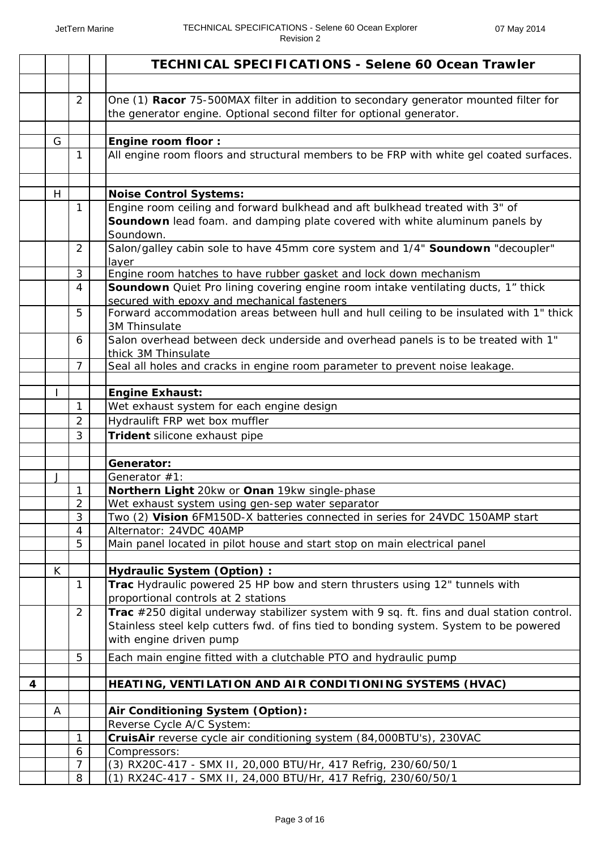|   |   |                | <b>TECHNICAL SPECIFICATIONS - Selene 60 Ocean Trawler</b>                                                                                                    |
|---|---|----------------|--------------------------------------------------------------------------------------------------------------------------------------------------------------|
|   |   |                |                                                                                                                                                              |
|   |   | 2              | One (1) Racor 75-500MAX filter in addition to secondary generator mounted filter for<br>the generator engine. Optional second filter for optional generator. |
|   |   |                |                                                                                                                                                              |
|   | G | 1              | <b>Engine room floor:</b><br>All engine room floors and structural members to be FRP with white gel coated surfaces.                                         |
|   |   |                |                                                                                                                                                              |
|   | H |                | <b>Noise Control Systems:</b>                                                                                                                                |
|   |   | $\mathbf{1}$   | Engine room ceiling and forward bulkhead and aft bulkhead treated with 3" of                                                                                 |
|   |   |                | Soundown lead foam. and damping plate covered with white aluminum panels by                                                                                  |
|   |   |                | Soundown.                                                                                                                                                    |
|   |   | $\overline{2}$ | Salon/galley cabin sole to have 45mm core system and 1/4" Soundown "decoupler"                                                                               |
|   |   |                | layer                                                                                                                                                        |
|   |   | 3              | Engine room hatches to have rubber gasket and lock down mechanism                                                                                            |
|   |   | 4              | Soundown Quiet Pro lining covering engine room intake ventilating ducts, 1" thick<br>secured with epoxy and mechanical fasteners                             |
|   |   | 5              | Forward accommodation areas between hull and hull ceiling to be insulated with 1" thick                                                                      |
|   |   |                | 3M Thinsulate                                                                                                                                                |
|   |   | 6              | Salon overhead between deck underside and overhead panels is to be treated with 1"                                                                           |
|   |   |                | thick 3M Thinsulate                                                                                                                                          |
|   |   | $\overline{7}$ | Seal all holes and cracks in engine room parameter to prevent noise leakage.                                                                                 |
|   |   |                | <b>Engine Exhaust:</b>                                                                                                                                       |
|   |   | $\mathbf{1}$   | Wet exhaust system for each engine design                                                                                                                    |
|   |   | $\overline{2}$ | Hydraulift FRP wet box muffler                                                                                                                               |
|   |   | 3              | Trident silicone exhaust pipe                                                                                                                                |
|   |   |                |                                                                                                                                                              |
|   |   |                | Generator:                                                                                                                                                   |
|   | J |                | Generator #1:                                                                                                                                                |
|   |   | 1              | Northern Light 20kw or Onan 19kw single-phase                                                                                                                |
|   |   | $\overline{2}$ | Wet exhaust system using gen-sep water separator                                                                                                             |
|   |   | 3              | Two (2) Vision 6FM150D-X batteries connected in series for 24VDC 150AMP start                                                                                |
|   |   | 4              | Alternator: 24VDC 40AMP                                                                                                                                      |
|   |   | 5              | Main panel located in pilot house and start stop on main electrical panel                                                                                    |
|   | K |                | <b>Hydraulic System (Option):</b>                                                                                                                            |
|   |   | $\mathbf{1}$   | Trac Hydraulic powered 25 HP bow and stern thrusters using 12" tunnels with                                                                                  |
|   |   |                | proportional controls at 2 stations                                                                                                                          |
|   |   | $\overline{2}$ | Trac $\#250$ digital underway stabilizer system with 9 sq. ft. fins and dual station control.                                                                |
|   |   |                | Stainless steel kelp cutters fwd. of fins tied to bonding system. System to be powered                                                                       |
|   |   |                | with engine driven pump                                                                                                                                      |
|   |   | 5              | Each main engine fitted with a clutchable PTO and hydraulic pump                                                                                             |
|   |   |                |                                                                                                                                                              |
| 4 |   |                | HEATING, VENTILATION AND AIR CONDITIONING SYSTEMS (HVAC)                                                                                                     |
|   | A |                | Air Conditioning System (Option):                                                                                                                            |
|   |   |                | Reverse Cycle A/C System:                                                                                                                                    |
|   |   | 1              | CruisAir reverse cycle air conditioning system (84,000BTU's), 230VAC                                                                                         |
|   |   | 6              | Compressors:                                                                                                                                                 |
|   |   | $\overline{7}$ | (3) RX20C-417 - SMX II, 20,000 BTU/Hr, 417 Refrig, 230/60/50/1                                                                                               |
|   |   | 8              | (1) RX24C-417 - SMX II, 24,000 BTU/Hr, 417 Refrig, 230/60/50/1                                                                                               |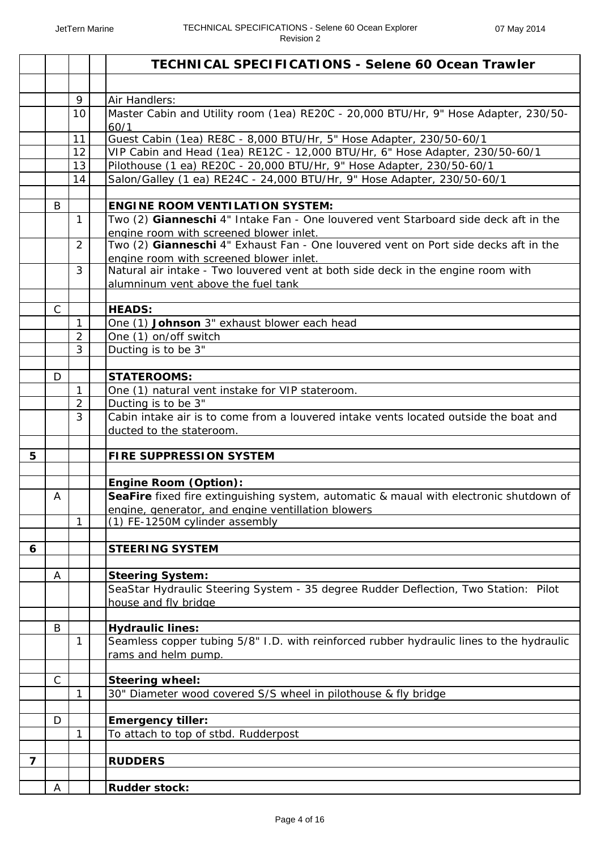|                |              |                | <b>TECHNICAL SPECIFICATIONS - Selene 60 Ocean Trawler</b>                                                                      |
|----------------|--------------|----------------|--------------------------------------------------------------------------------------------------------------------------------|
|                |              |                |                                                                                                                                |
|                |              | 9              | Air Handlers:                                                                                                                  |
|                |              | 10             | Master Cabin and Utility room (1ea) RE20C - 20,000 BTU/Hr, 9" Hose Adapter, 230/50-<br>60/1                                    |
|                |              | 11             | Guest Cabin (1ea) RE8C - 8,000 BTU/Hr, 5" Hose Adapter, 230/50-60/1                                                            |
|                |              | 12             | VIP Cabin and Head (1ea) RE12C - 12,000 BTU/Hr, 6" Hose Adapter, 230/50-60/1                                                   |
|                |              | 13             | Pilothouse (1 ea) RE20C - 20,000 BTU/Hr, 9" Hose Adapter, 230/50-60/1                                                          |
|                |              | 14             | Salon/Galley (1 ea) RE24C - 24,000 BTU/Hr, 9" Hose Adapter, 230/50-60/1                                                        |
|                |              |                |                                                                                                                                |
|                | B            |                | <b>ENGINE ROOM VENTILATION SYSTEM:</b>                                                                                         |
|                |              | $\mathbf{1}$   | Two (2) Gianneschi 4" Intake Fan - One louvered vent Starboard side deck aft in the<br>engine room with screened blower inlet. |
|                |              | $\overline{2}$ | Two (2) Gianneschi 4" Exhaust Fan - One louvered vent on Port side decks aft in the<br>engine room with screened blower inlet. |
|                |              | 3              | Natural air intake - Two louvered vent at both side deck in the engine room with                                               |
|                |              |                | alumninum vent above the fuel tank                                                                                             |
|                | $\mathsf{C}$ |                | <b>HEADS:</b>                                                                                                                  |
|                |              | 1              | One (1) Johnson 3" exhaust blower each head                                                                                    |
|                |              | $\overline{2}$ | One (1) on/off switch                                                                                                          |
|                |              | 3              | Ducting is to be 3"                                                                                                            |
|                |              |                |                                                                                                                                |
|                | D            |                | <b>STATEROOMS:</b>                                                                                                             |
|                |              | $\mathbf{1}$   | One (1) natural vent instake for VIP stateroom.                                                                                |
|                |              | $\overline{2}$ | Ducting is to be 3"                                                                                                            |
|                |              | 3              | Cabin intake air is to come from a louvered intake vents located outside the boat and                                          |
|                |              |                | ducted to the stateroom.                                                                                                       |
| 5              |              |                |                                                                                                                                |
|                |              |                | <b>FIRE SUPPRESSION SYSTEM</b>                                                                                                 |
|                |              |                | <b>Engine Room (Option):</b>                                                                                                   |
|                | Α            |                | SeaFire fixed fire extinguishing system, automatic & maual with electronic shutdown of                                         |
|                |              |                | engine, generator, and engine ventillation blowers                                                                             |
|                |              | 1              | (1) FE-1250M cylinder assembly                                                                                                 |
|                |              |                |                                                                                                                                |
| 6              |              |                | <b>STEERING SYSTEM</b>                                                                                                         |
|                |              |                |                                                                                                                                |
|                | A            |                | <b>Steering System:</b>                                                                                                        |
|                |              |                | SeaStar Hydraulic Steering System - 35 degree Rudder Deflection, Two Station: Pilot                                            |
|                |              |                | house and fly bridge                                                                                                           |
|                |              |                |                                                                                                                                |
|                | B            |                | <b>Hydraulic lines:</b><br>Seamless copper tubing 5/8" I.D. with reinforced rubber hydraulic lines to the hydraulic            |
|                |              | 1              | rams and helm pump.                                                                                                            |
|                |              |                |                                                                                                                                |
|                | $\mathsf{C}$ |                | <b>Steering wheel:</b>                                                                                                         |
|                |              | 1              | 30" Diameter wood covered S/S wheel in pilothouse & fly bridge                                                                 |
|                | D            |                | <b>Emergency tiller:</b>                                                                                                       |
|                |              | 1              | To attach to top of stbd. Rudderpost                                                                                           |
|                |              |                |                                                                                                                                |
| $\overline{7}$ |              |                | <b>RUDDERS</b>                                                                                                                 |
|                |              |                |                                                                                                                                |
|                | A            |                | <b>Rudder stock:</b>                                                                                                           |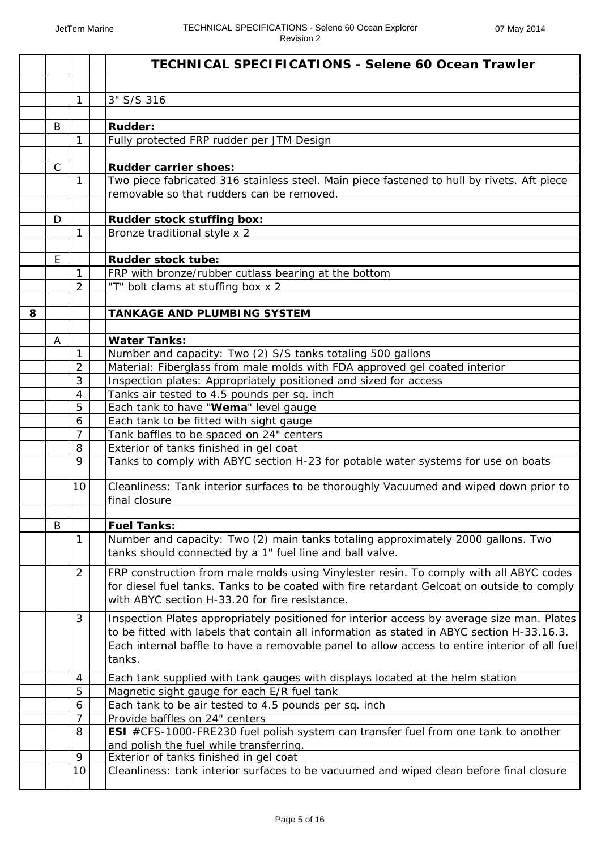|   |              |                     | <b>TECHNICAL SPECIFICATIONS - Selene 60 Ocean Trawler</b>                                                                                                                                                                                                                                           |
|---|--------------|---------------------|-----------------------------------------------------------------------------------------------------------------------------------------------------------------------------------------------------------------------------------------------------------------------------------------------------|
|   |              |                     |                                                                                                                                                                                                                                                                                                     |
|   |              | 1                   | 3" S/S 316                                                                                                                                                                                                                                                                                          |
|   |              |                     |                                                                                                                                                                                                                                                                                                     |
|   | B            |                     | Rudder:                                                                                                                                                                                                                                                                                             |
|   |              | 1                   | Fully protected FRP rudder per JTM Design                                                                                                                                                                                                                                                           |
|   |              |                     |                                                                                                                                                                                                                                                                                                     |
|   | $\mathsf{C}$ |                     | <b>Rudder carrier shoes:</b>                                                                                                                                                                                                                                                                        |
|   |              | $\mathbf{1}$        | Two piece fabricated 316 stainless steel. Main piece fastened to hull by rivets. Aft piece<br>removable so that rudders can be removed.                                                                                                                                                             |
|   |              |                     |                                                                                                                                                                                                                                                                                                     |
|   | D            | 1                   | <b>Rudder stock stuffing box:</b><br>Bronze traditional style x 2                                                                                                                                                                                                                                   |
|   |              |                     |                                                                                                                                                                                                                                                                                                     |
|   | E            |                     | <b>Rudder stock tube:</b>                                                                                                                                                                                                                                                                           |
|   |              | 1                   | FRP with bronze/rubber cutlass bearing at the bottom                                                                                                                                                                                                                                                |
|   |              | 2                   | "T" bolt clams at stuffing box x 2                                                                                                                                                                                                                                                                  |
|   |              |                     |                                                                                                                                                                                                                                                                                                     |
| 8 |              |                     | <b>TANKAGE AND PLUMBING SYSTEM</b>                                                                                                                                                                                                                                                                  |
|   |              |                     |                                                                                                                                                                                                                                                                                                     |
|   | A            |                     | <b>Water Tanks:</b>                                                                                                                                                                                                                                                                                 |
|   |              | $\mathbf{1}$        | Number and capacity: Two (2) S/S tanks totaling 500 gallons                                                                                                                                                                                                                                         |
|   |              | 2                   | Material: Fiberglass from male molds with FDA approved gel coated interior                                                                                                                                                                                                                          |
|   |              | 3                   | Inspection plates: Appropriately positioned and sized for access                                                                                                                                                                                                                                    |
|   |              | $\overline{4}$      | Tanks air tested to 4.5 pounds per sq. inch                                                                                                                                                                                                                                                         |
|   |              | 5                   | Each tank to have "Wema" level gauge                                                                                                                                                                                                                                                                |
|   |              | 6<br>$\overline{7}$ | Each tank to be fitted with sight gauge<br>Tank baffles to be spaced on 24" centers                                                                                                                                                                                                                 |
|   |              | 8                   | Exterior of tanks finished in gel coat                                                                                                                                                                                                                                                              |
|   |              | 9                   | Tanks to comply with ABYC section H-23 for potable water systems for use on boats                                                                                                                                                                                                                   |
|   |              |                     |                                                                                                                                                                                                                                                                                                     |
|   |              | 10                  | Cleanliness: Tank interior surfaces to be thoroughly Vacuumed and wiped down prior to                                                                                                                                                                                                               |
|   |              |                     | final closure                                                                                                                                                                                                                                                                                       |
|   | B            |                     | <b>Fuel Tanks:</b>                                                                                                                                                                                                                                                                                  |
|   |              | $\mathbf{1}$        | Number and capacity: Two (2) main tanks totaling approximately 2000 gallons. Two<br>tanks should connected by a 1" fuel line and ball valve.                                                                                                                                                        |
|   |              | 2                   | FRP construction from male molds using Vinylester resin. To comply with all ABYC codes<br>for diesel fuel tanks. Tanks to be coated with fire retardant Gelcoat on outside to comply<br>with ABYC section H-33.20 for fire resistance.                                                              |
|   |              | 3                   | Inspection Plates appropriately positioned for interior access by average size man. Plates<br>to be fitted with labels that contain all information as stated in ABYC section H-33.16.3.<br>Each internal baffle to have a removable panel to allow access to entire interior of all fuel<br>tanks. |
|   |              | 4                   | Each tank supplied with tank gauges with displays located at the helm station                                                                                                                                                                                                                       |
|   |              | 5                   | Magnetic sight gauge for each E/R fuel tank                                                                                                                                                                                                                                                         |
|   |              | 6                   | Each tank to be air tested to 4.5 pounds per sq. inch                                                                                                                                                                                                                                               |
|   |              | 7                   | Provide baffles on 24" centers                                                                                                                                                                                                                                                                      |
|   |              | 8                   | ESI #CFS-1000-FRE230 fuel polish system can transfer fuel from one tank to another                                                                                                                                                                                                                  |
|   |              | 9                   | and polish the fuel while transferring.                                                                                                                                                                                                                                                             |
|   |              | 10                  | Exterior of tanks finished in gel coat<br>Cleanliness: tank interior surfaces to be vacuumed and wiped clean before final closure                                                                                                                                                                   |
|   |              |                     |                                                                                                                                                                                                                                                                                                     |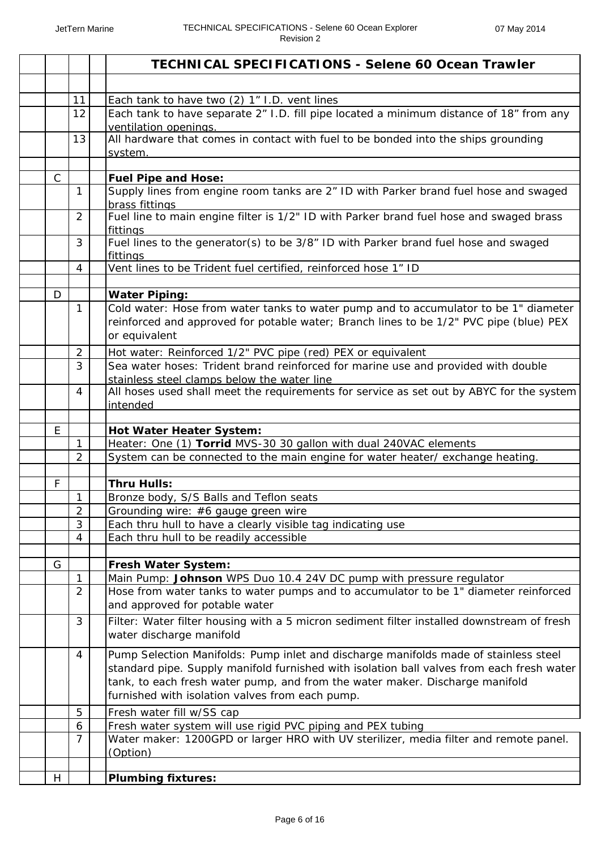|              |                | <b>TECHNICAL SPECIFICATIONS - Selene 60 Ocean Trawler</b>                                                                                                                                                                                                                                                            |
|--------------|----------------|----------------------------------------------------------------------------------------------------------------------------------------------------------------------------------------------------------------------------------------------------------------------------------------------------------------------|
|              |                |                                                                                                                                                                                                                                                                                                                      |
|              | 11             | Each tank to have two (2) 1" I.D. vent lines                                                                                                                                                                                                                                                                         |
|              | 12             | Each tank to have separate 2" I.D. fill pipe located a minimum distance of 18" from any<br>ventilation openings.                                                                                                                                                                                                     |
|              | 13             | All hardware that comes in contact with fuel to be bonded into the ships grounding                                                                                                                                                                                                                                   |
|              |                | system.                                                                                                                                                                                                                                                                                                              |
| $\mathsf{C}$ |                | <b>Fuel Pipe and Hose:</b>                                                                                                                                                                                                                                                                                           |
|              | $\mathbf{1}$   | Supply lines from engine room tanks are 2" ID with Parker brand fuel hose and swaged<br>brass fittings                                                                                                                                                                                                               |
|              | $\overline{2}$ | Fuel line to main engine filter is 1/2" ID with Parker brand fuel hose and swaged brass<br>fittings                                                                                                                                                                                                                  |
|              | 3              | Fuel lines to the generator(s) to be 3/8" ID with Parker brand fuel hose and swaged<br>fittings                                                                                                                                                                                                                      |
|              | $\overline{4}$ | Vent lines to be Trident fuel certified, reinforced hose 1" ID                                                                                                                                                                                                                                                       |
|              |                |                                                                                                                                                                                                                                                                                                                      |
| D            |                | <b>Water Piping:</b>                                                                                                                                                                                                                                                                                                 |
|              | 1              | Cold water: Hose from water tanks to water pump and to accumulator to be 1" diameter<br>reinforced and approved for potable water; Branch lines to be 1/2" PVC pipe (blue) PEX<br>or equivalent                                                                                                                      |
|              | $\overline{2}$ | Hot water: Reinforced 1/2" PVC pipe (red) PEX or equivalent                                                                                                                                                                                                                                                          |
|              | 3              | Sea water hoses: Trident brand reinforced for marine use and provided with double<br>stainless steel clamps below the water line                                                                                                                                                                                     |
|              | 4              | All hoses used shall meet the requirements for service as set out by ABYC for the system<br>intended                                                                                                                                                                                                                 |
|              |                |                                                                                                                                                                                                                                                                                                                      |
| E            |                | Hot Water Heater System:                                                                                                                                                                                                                                                                                             |
|              | 1              | Heater: One (1) Torrid MVS-30 30 gallon with dual 240VAC elements                                                                                                                                                                                                                                                    |
|              | $\overline{2}$ | System can be connected to the main engine for water heater/ exchange heating.                                                                                                                                                                                                                                       |
| $\mathsf F$  |                | <b>Thru Hulls:</b>                                                                                                                                                                                                                                                                                                   |
|              | 1              | Bronze body, S/S Balls and Teflon seats                                                                                                                                                                                                                                                                              |
|              | $\overline{2}$ | Grounding wire: #6 gauge green wire                                                                                                                                                                                                                                                                                  |
|              | 3              | Each thru hull to have a clearly visible tag indicating use                                                                                                                                                                                                                                                          |
|              | 4              | Each thru hull to be readily accessible                                                                                                                                                                                                                                                                              |
|              |                |                                                                                                                                                                                                                                                                                                                      |
| G            |                | Fresh Water System:                                                                                                                                                                                                                                                                                                  |
|              | 1              | Main Pump: Johnson WPS Duo 10.4 24V DC pump with pressure regulator                                                                                                                                                                                                                                                  |
|              | $\overline{2}$ | Hose from water tanks to water pumps and to accumulator to be 1" diameter reinforced<br>and approved for potable water                                                                                                                                                                                               |
|              | 3              | Filter: Water filter housing with a 5 micron sediment filter installed downstream of fresh<br>water discharge manifold                                                                                                                                                                                               |
|              | 4              | Pump Selection Manifolds: Pump inlet and discharge manifolds made of stainless steel<br>standard pipe. Supply manifold furnished with isolation ball valves from each fresh water<br>tank, to each fresh water pump, and from the water maker. Discharge manifold<br>furnished with isolation valves from each pump. |
|              | 5              | Fresh water fill w/SS cap                                                                                                                                                                                                                                                                                            |
|              | 6              | Fresh water system will use rigid PVC piping and PEX tubing                                                                                                                                                                                                                                                          |
|              | $\overline{7}$ | Water maker: 1200GPD or larger HRO with UV sterilizer, media filter and remote panel.<br>(Option)                                                                                                                                                                                                                    |
|              |                |                                                                                                                                                                                                                                                                                                                      |
| H            |                | <b>Plumbing fixtures:</b>                                                                                                                                                                                                                                                                                            |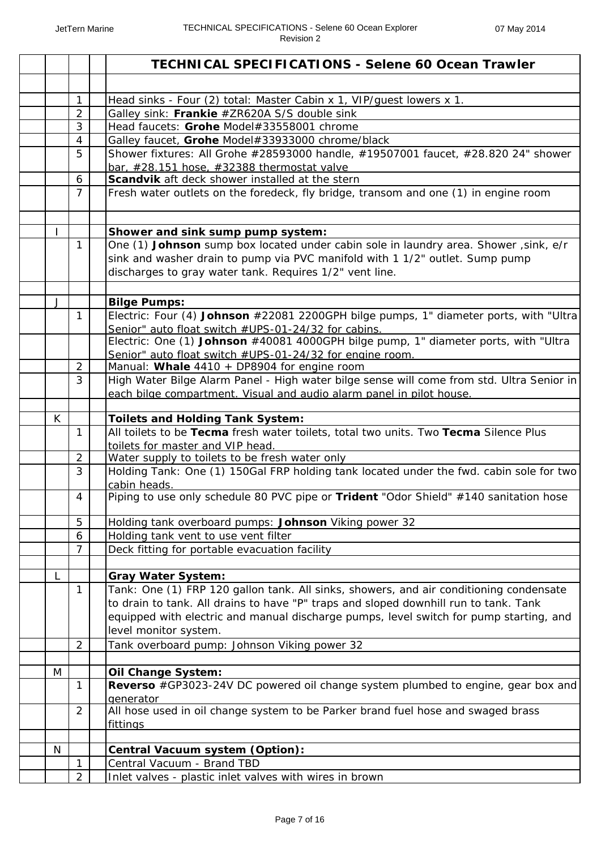|   |                | <b>TECHNICAL SPECIFICATIONS - Selene 60 Ocean Trawler</b>                                                                                  |
|---|----------------|--------------------------------------------------------------------------------------------------------------------------------------------|
|   |                |                                                                                                                                            |
|   | $\mathbf{1}$   | Head sinks - Four (2) total: Master Cabin x 1, VIP/guest lowers x 1.                                                                       |
|   | $\overline{2}$ | Galley sink: Frankie #ZR620A S/S double sink                                                                                               |
|   | 3              | Head faucets: Grohe Model#33558001 chrome                                                                                                  |
|   | $\overline{4}$ | Galley faucet, Grohe Model#33933000 chrome/black                                                                                           |
|   | 5              | Shower fixtures: All Grohe #28593000 handle, #19507001 faucet, #28.820 24" shower                                                          |
|   |                | bar, #28.151 hose, #32388 thermostat valve                                                                                                 |
|   | 6              | Scandvik aft deck shower installed at the stern                                                                                            |
|   | 7              | Fresh water outlets on the foredeck, fly bridge, transom and one (1) in engine room                                                        |
|   |                | Shower and sink sump pump system:                                                                                                          |
|   | $\mathbf{1}$   | One (1) Johnson sump box located under cabin sole in laundry area. Shower, sink, e/r                                                       |
|   |                | sink and washer drain to pump via PVC manifold with 1 1/2" outlet. Sump pump<br>discharges to gray water tank. Requires 1/2" vent line.    |
|   |                |                                                                                                                                            |
| J |                | <b>Bilge Pumps:</b>                                                                                                                        |
|   | 1              | Electric: Four (4) Johnson #22081 2200GPH bilge pumps, 1" diameter ports, with "Ultra                                                      |
|   |                | Senior" auto float switch #UPS-01-24/32 for cabins.<br>Electric: One (1) Johnson #40081 4000GPH bilge pump, 1" diameter ports, with "Ultra |
|   |                | Senior" auto float switch #UPS-01-24/32 for engine room.                                                                                   |
|   | $\overline{2}$ | Manual: Whale 4410 + DP8904 for engine room                                                                                                |
|   | 3              | High Water Bilge Alarm Panel - High water bilge sense will come from std. Ultra Senior in                                                  |
|   |                | each bilge compartment. Visual and audio alarm panel in pilot house.                                                                       |
|   |                |                                                                                                                                            |
| K |                | <b>Toilets and Holding Tank System:</b>                                                                                                    |
|   | 1              | All toilets to be Tecma fresh water toilets, total two units. Two Tecma Silence Plus                                                       |
|   |                | toilets for master and VIP head.                                                                                                           |
|   | $\overline{2}$ | Water supply to toilets to be fresh water only                                                                                             |
|   | 3              | Holding Tank: One (1) 150Gal FRP holding tank located under the fwd. cabin sole for two<br>cabin heads.                                    |
|   | 4              | Piping to use only schedule 80 PVC pipe or Trident "Odor Shield" #140 sanitation hose                                                      |
|   | 5              | Holding tank overboard pumps: Johnson Viking power 32                                                                                      |
|   | 6              | Holding tank vent to use vent filter                                                                                                       |
|   | $\overline{7}$ | Deck fitting for portable evacuation facility                                                                                              |
|   |                |                                                                                                                                            |
| L |                | <b>Gray Water System:</b>                                                                                                                  |
|   | $\mathbf{1}$   | Tank: One (1) FRP 120 gallon tank. All sinks, showers, and air conditioning condensate                                                     |
|   |                | to drain to tank. All drains to have "P" traps and sloped downhill run to tank. Tank                                                       |
|   |                | equipped with electric and manual discharge pumps, level switch for pump starting, and                                                     |
|   |                | level monitor system.                                                                                                                      |
|   | $\overline{2}$ | Tank overboard pump: Johnson Viking power 32                                                                                               |
| M |                | <b>Oil Change System:</b>                                                                                                                  |
|   | 1              | Reverso #GP3023-24V DC powered oil change system plumbed to engine, gear box and                                                           |
|   |                | qenerator                                                                                                                                  |
|   | $\overline{2}$ | All hose used in oil change system to be Parker brand fuel hose and swaged brass                                                           |
|   |                | <b>fittings</b>                                                                                                                            |
|   |                |                                                                                                                                            |
| N |                | Central Vacuum system (Option):                                                                                                            |
|   | 1              | Central Vacuum - Brand TBD                                                                                                                 |
|   | $\overline{2}$ | Inlet valves - plastic inlet valves with wires in brown                                                                                    |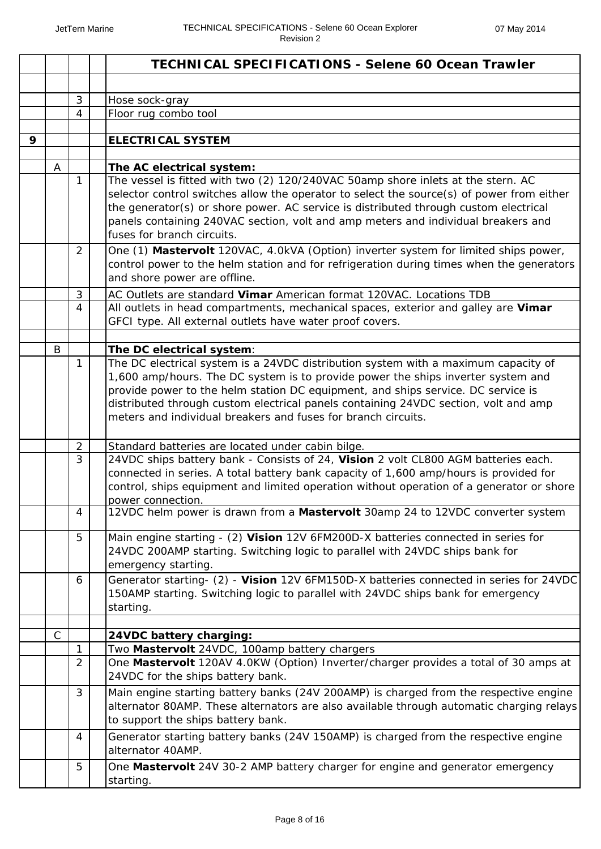|   |              |                | <b>TECHNICAL SPECIFICATIONS - Selene 60 Ocean Trawler</b>                                                                                                                   |
|---|--------------|----------------|-----------------------------------------------------------------------------------------------------------------------------------------------------------------------------|
|   |              |                |                                                                                                                                                                             |
|   |              | $\sqrt{3}$     | Hose sock-gray                                                                                                                                                              |
|   |              | $\overline{4}$ | Floor rug combo tool                                                                                                                                                        |
|   |              |                |                                                                                                                                                                             |
| 9 |              |                | <b>ELECTRICAL SYSTEM</b>                                                                                                                                                    |
|   | A            |                | The AC electrical system:                                                                                                                                                   |
|   |              | 1              | The vessel is fitted with two (2) 120/240VAC 50amp shore inlets at the stern. AC                                                                                            |
|   |              |                | selector control switches allow the operator to select the source(s) of power from either                                                                                   |
|   |              |                | the generator(s) or shore power. AC service is distributed through custom electrical                                                                                        |
|   |              |                | panels containing 240VAC section, volt and amp meters and individual breakers and                                                                                           |
|   |              |                | fuses for branch circuits.                                                                                                                                                  |
|   |              | $\overline{2}$ | One (1) Mastervolt 120VAC, 4.0kVA (Option) inverter system for limited ships power,                                                                                         |
|   |              |                | control power to the helm station and for refrigeration during times when the generators                                                                                    |
|   |              |                | and shore power are offline.                                                                                                                                                |
|   |              | 3              | AC Outlets are standard Vimar American format 120VAC. Locations TDB                                                                                                         |
|   |              | 4              | All outlets in head compartments, mechanical spaces, exterior and galley are Vimar                                                                                          |
|   |              |                | GFCI type. All external outlets have water proof covers.                                                                                                                    |
|   | B            |                | The DC electrical system:                                                                                                                                                   |
|   |              | 1              | The DC electrical system is a 24VDC distribution system with a maximum capacity of                                                                                          |
|   |              |                | 1,600 amp/hours. The DC system is to provide power the ships inverter system and                                                                                            |
|   |              |                | provide power to the helm station DC equipment, and ships service. DC service is                                                                                            |
|   |              |                | distributed through custom electrical panels containing 24VDC section, volt and amp                                                                                         |
|   |              |                | meters and individual breakers and fuses for branch circuits.                                                                                                               |
|   |              |                |                                                                                                                                                                             |
|   |              | $\overline{2}$ | Standard batteries are located under cabin bilge.                                                                                                                           |
|   |              | 3              | 24VDC ships battery bank - Consists of 24, Vision 2 volt CL800 AGM batteries each.<br>connected in series. A total battery bank capacity of 1,600 amp/hours is provided for |
|   |              |                | control, ships equipment and limited operation without operation of a generator or shore                                                                                    |
|   |              |                | power connection.                                                                                                                                                           |
|   |              | 4              | 12VDC helm power is drawn from a <b>Mastervolt</b> 30amp 24 to 12VDC converter system                                                                                       |
|   |              |                |                                                                                                                                                                             |
|   |              | 5              | Main engine starting - (2) Vision 12V 6FM200D-X batteries connected in series for                                                                                           |
|   |              |                | 24VDC 200AMP starting. Switching logic to parallel with 24VDC ships bank for<br>emergency starting.                                                                         |
|   |              | 6              | Generator starting- (2) - Vision 12V 6FM150D-X batteries connected in series for 24VDC                                                                                      |
|   |              |                | 150AMP starting. Switching logic to parallel with 24VDC ships bank for emergency                                                                                            |
|   |              |                | starting.                                                                                                                                                                   |
|   |              |                |                                                                                                                                                                             |
|   | $\mathsf{C}$ |                | 24VDC battery charging:                                                                                                                                                     |
|   |              | 1              | Two Mastervolt 24VDC, 100amp battery chargers                                                                                                                               |
|   |              | $\overline{2}$ | One Mastervolt 120AV 4.0KW (Option) Inverter/charger provides a total of 30 amps at                                                                                         |
|   |              |                | 24VDC for the ships battery bank.                                                                                                                                           |
|   |              | $\mathfrak{Z}$ | Main engine starting battery banks (24V 200AMP) is charged from the respective engine                                                                                       |
|   |              |                | alternator 80AMP. These alternators are also available through automatic charging relays                                                                                    |
|   |              |                | to support the ships battery bank.                                                                                                                                          |
|   |              | $\overline{4}$ | Generator starting battery banks (24V 150AMP) is charged from the respective engine                                                                                         |
|   |              |                | alternator 40AMP.                                                                                                                                                           |
|   |              | 5              | One Mastervolt 24V 30-2 AMP battery charger for engine and generator emergency                                                                                              |
|   |              |                | starting.                                                                                                                                                                   |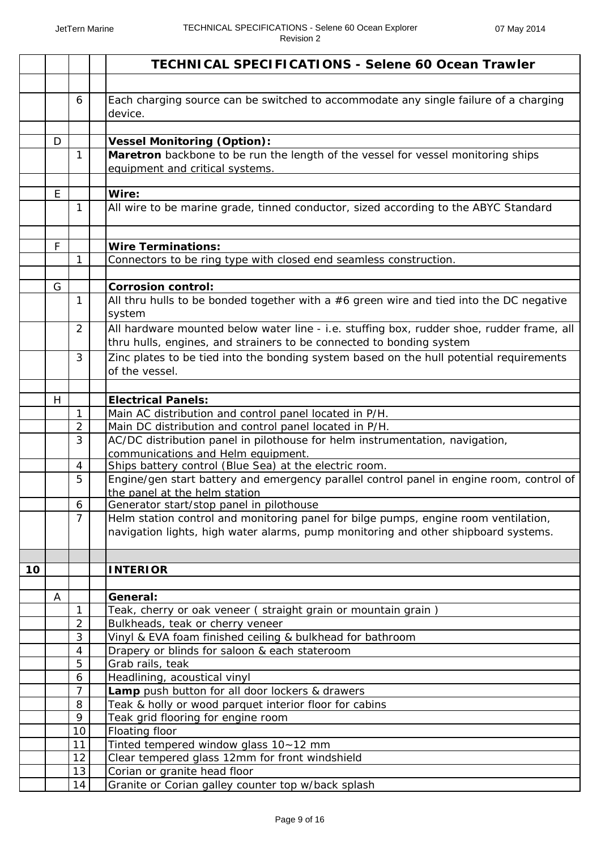|    |   |                                | <b>TECHNICAL SPECIFICATIONS - Selene 60 Ocean Trawler</b>                                                                                                                 |
|----|---|--------------------------------|---------------------------------------------------------------------------------------------------------------------------------------------------------------------------|
|    |   |                                |                                                                                                                                                                           |
|    |   | 6                              | Each charging source can be switched to accommodate any single failure of a charging<br>device.                                                                           |
|    | D |                                | <b>Vessel Monitoring (Option):</b>                                                                                                                                        |
|    |   | 1                              | Maretron backbone to be run the length of the vessel for vessel monitoring ships<br>equipment and critical systems.                                                       |
|    | E |                                | Wire:                                                                                                                                                                     |
|    |   | 1                              | All wire to be marine grade, tinned conductor, sized according to the ABYC Standard                                                                                       |
|    | F |                                | <b>Wire Terminations:</b>                                                                                                                                                 |
|    |   | 1                              | Connectors to be ring type with closed end seamless construction.                                                                                                         |
|    |   |                                |                                                                                                                                                                           |
|    | G |                                | <b>Corrosion control:</b>                                                                                                                                                 |
|    |   | $\mathbf{1}$                   | All thru hulls to be bonded together with a #6 green wire and tied into the DC negative<br>system                                                                         |
|    |   | 2                              | All hardware mounted below water line - i.e. stuffing box, rudder shoe, rudder frame, all<br>thru hulls, engines, and strainers to be connected to bonding system         |
|    |   | 3                              | Zinc plates to be tied into the bonding system based on the hull potential requirements<br>of the vessel.                                                                 |
|    |   |                                |                                                                                                                                                                           |
|    | H |                                | <b>Electrical Panels:</b>                                                                                                                                                 |
|    |   | $\mathbf{1}$<br>$\overline{2}$ | Main AC distribution and control panel located in P/H.<br>Main DC distribution and control panel located in P/H.                                                          |
|    |   | 3                              | AC/DC distribution panel in pilothouse for helm instrumentation, navigation,                                                                                              |
|    |   |                                | communications and Helm equipment.                                                                                                                                        |
|    |   | 4                              | Ships battery control (Blue Sea) at the electric room.                                                                                                                    |
|    |   | 5                              | Engine/gen start battery and emergency parallel control panel in engine room, control of<br>the panel at the helm station                                                 |
|    |   | 6                              | Generator start/stop panel in pilothouse                                                                                                                                  |
|    |   | $\overline{7}$                 | Helm station control and monitoring panel for bilge pumps, engine room ventilation,<br>navigation lights, high water alarms, pump monitoring and other shipboard systems. |
|    |   |                                |                                                                                                                                                                           |
| 10 |   |                                | <b>INTERIOR</b>                                                                                                                                                           |
|    | A |                                | General:                                                                                                                                                                  |
|    |   | $\mathbf{1}$                   | Teak, cherry or oak veneer (straight grain or mountain grain)                                                                                                             |
|    |   | $\overline{2}$                 | Bulkheads, teak or cherry veneer                                                                                                                                          |
|    |   | 3                              | Vinyl & EVA foam finished ceiling & bulkhead for bathroom                                                                                                                 |
|    |   | 4                              | Drapery or blinds for saloon & each stateroom                                                                                                                             |
|    |   | 5                              | Grab rails, teak                                                                                                                                                          |
|    |   | 6                              | Headlining, acoustical vinyl                                                                                                                                              |
|    |   | $\overline{7}$                 | Lamp push button for all door lockers & drawers                                                                                                                           |
|    |   | 8<br>9                         | Teak & holly or wood parquet interior floor for cabins                                                                                                                    |
|    |   | 10                             | Teak grid flooring for engine room<br>Floating floor                                                                                                                      |
|    |   | 11                             | Tinted tempered window glass 10~12 mm                                                                                                                                     |
|    |   | 12                             | Clear tempered glass 12mm for front windshield                                                                                                                            |
|    |   | 13                             | Corian or granite head floor                                                                                                                                              |
|    |   | 14                             | Granite or Corian galley counter top w/back splash                                                                                                                        |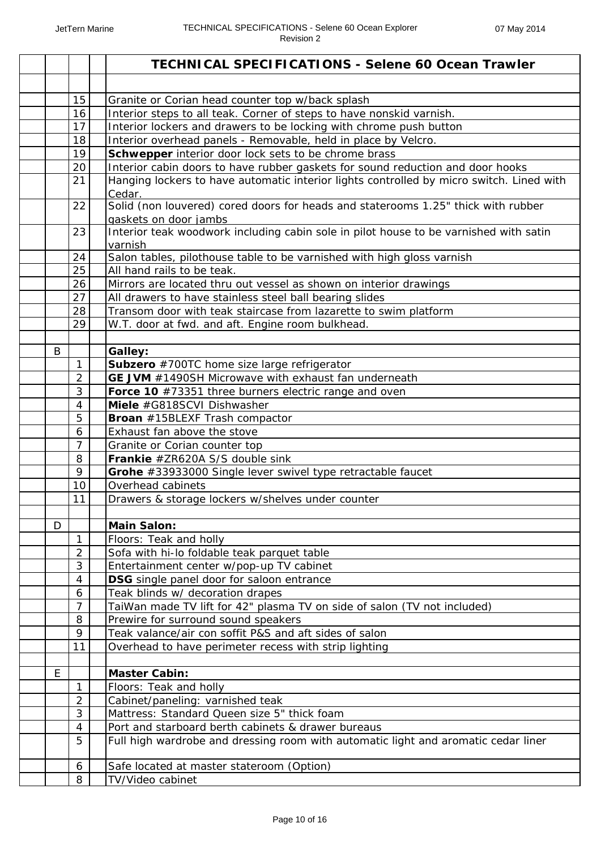|   |                | <b>TECHNICAL SPECIFICATIONS - Selene 60 Ocean Trawler</b>                                            |
|---|----------------|------------------------------------------------------------------------------------------------------|
|   |                |                                                                                                      |
|   | 15             | Granite or Corian head counter top w/back splash                                                     |
|   | 16             | Interior steps to all teak. Corner of steps to have nonskid varnish.                                 |
|   | 17             | Interior lockers and drawers to be locking with chrome push button                                   |
|   | 18             | Interior overhead panels - Removable, held in place by Velcro.                                       |
|   | 19             | Schwepper interior door lock sets to be chrome brass                                                 |
|   | 20             | Interior cabin doors to have rubber gaskets for sound reduction and door hooks                       |
|   | 21             | Hanging lockers to have automatic interior lights controlled by micro switch. Lined with             |
|   |                | Cedar.                                                                                               |
|   | 22             | Solid (non louvered) cored doors for heads and staterooms 1.25" thick with rubber                    |
|   |                | gaskets on door jambs                                                                                |
|   | 23             | Interior teak woodwork including cabin sole in pilot house to be varnished with satin                |
|   | 24             | varnish                                                                                              |
|   | 25             | Salon tables, pilothouse table to be varnished with high gloss varnish<br>All hand rails to be teak. |
|   | 26             | Mirrors are located thru out vessel as shown on interior drawings                                    |
|   | 27             | All drawers to have stainless steel ball bearing slides                                              |
|   | 28             | Transom door with teak staircase from lazarette to swim platform                                     |
|   | 29             | W.T. door at fwd. and aft. Engine room bulkhead.                                                     |
|   |                |                                                                                                      |
| B |                | Galley:                                                                                              |
|   | $\mathbf{1}$   | Subzero #700TC home size large refrigerator                                                          |
|   | $\overline{2}$ | GE JVM #1490SH Microwave with exhaust fan underneath                                                 |
|   | 3              | Force 10 #73351 three burners electric range and oven                                                |
|   | 4              | Miele #G818SCVI Dishwasher                                                                           |
|   | 5              | <b>Broan</b> #15BLEXF Trash compactor                                                                |
|   | 6              | Exhaust fan above the stove                                                                          |
|   | $\overline{7}$ | Granite or Corian counter top                                                                        |
|   | 8              | Frankie #ZR620A S/S double sink                                                                      |
|   | 9              | Grohe #33933000 Single lever swivel type retractable faucet                                          |
|   | 10             | Overhead cabinets                                                                                    |
|   | 11             | Drawers & storage lockers w/shelves under counter                                                    |
|   |                |                                                                                                      |
| D |                | <b>Main Salon:</b>                                                                                   |
|   | 1              | Floors: Teak and holly                                                                               |
|   | 2              | Sofa with hi-lo foldable teak parquet table                                                          |
|   | 3              | Entertainment center w/pop-up TV cabinet                                                             |
|   | 4              | DSG single panel door for saloon entrance                                                            |
|   | 6              | Teak blinds w/ decoration drapes                                                                     |
|   | $\overline{7}$ | TaiWan made TV lift for 42" plasma TV on side of salon (TV not included)                             |
|   | 8<br>9         | Prewire for surround sound speakers                                                                  |
|   |                | Teak valance/air con soffit P&S and aft sides of salon                                               |
|   | 11             | Overhead to have perimeter recess with strip lighting                                                |
| E |                | <b>Master Cabin:</b>                                                                                 |
|   | 1              | Floors: Teak and holly                                                                               |
|   | $\overline{2}$ | Cabinet/paneling: varnished teak                                                                     |
|   | 3              | Mattress: Standard Queen size 5" thick foam                                                          |
|   | 4              | Port and starboard berth cabinets & drawer bureaus                                                   |
|   | 5              | Full high wardrobe and dressing room with automatic light and aromatic cedar liner                   |
|   |                |                                                                                                      |
|   | 6              | Safe located at master stateroom (Option)                                                            |
|   | 8              | TV/Video cabinet                                                                                     |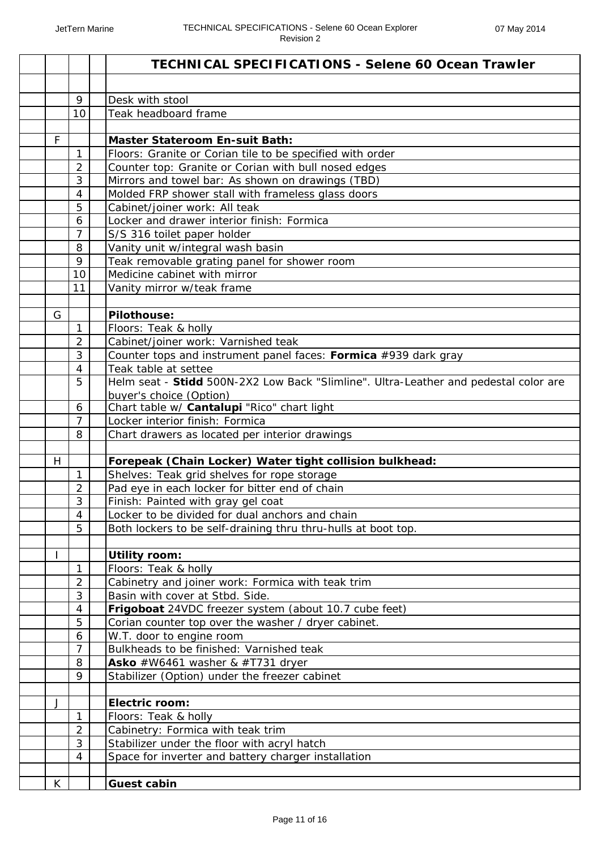|                     | <b>TECHNICAL SPECIFICATIONS - Selene 60 Ocean Trawler</b>                            |
|---------------------|--------------------------------------------------------------------------------------|
|                     |                                                                                      |
| 9                   | Desk with stool                                                                      |
| 10                  | Teak headboard frame                                                                 |
|                     |                                                                                      |
| F                   | <b>Master Stateroom En-suit Bath:</b>                                                |
| $\mathbf{1}$        | Floors: Granite or Corian tile to be specified with order                            |
| $\overline{2}$      | Counter top: Granite or Corian with bull nosed edges                                 |
| 3<br>$\overline{4}$ | Mirrors and towel bar: As shown on drawings (TBD)                                    |
|                     | Molded FRP shower stall with frameless glass doors                                   |
| 5<br>6              | Cabinet/joiner work: All teak<br>Locker and drawer interior finish: Formica          |
| $\overline{7}$      |                                                                                      |
| 8                   | S/S 316 toilet paper holder<br>Vanity unit w/integral wash basin                     |
| 9                   | Teak removable grating panel for shower room                                         |
| 10                  | Medicine cabinet with mirror                                                         |
| 11                  | Vanity mirror w/teak frame                                                           |
|                     |                                                                                      |
| G                   | Pilothouse:                                                                          |
| $\mathbf{1}$        | Floors: Teak & holly                                                                 |
| $\overline{2}$      | Cabinet/joiner work: Varnished teak                                                  |
| 3                   | Counter tops and instrument panel faces: Formica #939 dark gray                      |
| $\overline{4}$      | Teak table at settee                                                                 |
| 5                   | Helm seat - Stidd 500N-2X2 Low Back "Slimline". Ultra-Leather and pedestal color are |
|                     | buyer's choice (Option)                                                              |
| 6                   | Chart table w/ Cantalupi "Rico" chart light                                          |
| $\overline{7}$      | Locker interior finish: Formica                                                      |
| 8                   | Chart drawers as located per interior drawings                                       |
| H                   | Forepeak (Chain Locker) Water tight collision bulkhead:                              |
| $\mathbf{1}$        | Shelves: Teak grid shelves for rope storage                                          |
| 2                   | Pad eye in each locker for bitter end of chain                                       |
| 3                   | Finish: Painted with gray gel coat                                                   |
| 4                   | Locker to be divided for dual anchors and chain                                      |
| 5                   | Both lockers to be self-draining thru thru-hulls at boot top.                        |
|                     |                                                                                      |
|                     | <b>Utility room:</b>                                                                 |
| 1                   | Floors: Teak & holly                                                                 |
| $\overline{2}$      | Cabinetry and joiner work: Formica with teak trim                                    |
| 3                   | Basin with cover at Stbd. Side.                                                      |
| $\overline{4}$      | Frigoboat 24VDC freezer system (about 10.7 cube feet)                                |
| 5                   | Corian counter top over the washer / dryer cabinet.                                  |
| 6                   | W.T. door to engine room                                                             |
| $\overline{7}$      | Bulkheads to be finished: Varnished teak                                             |
| 8                   | Asko #W6461 washer & #T731 dryer                                                     |
| 9                   | Stabilizer (Option) under the freezer cabinet                                        |
|                     |                                                                                      |
| J<br>$\mathbf{1}$   | <b>Electric room:</b>                                                                |
| $\overline{2}$      | Floors: Teak & holly<br>Cabinetry: Formica with teak trim                            |
| 3                   | Stabilizer under the floor with acryl hatch                                          |
| 4                   | Space for inverter and battery charger installation                                  |
|                     |                                                                                      |
| K                   | <b>Guest cabin</b>                                                                   |
|                     |                                                                                      |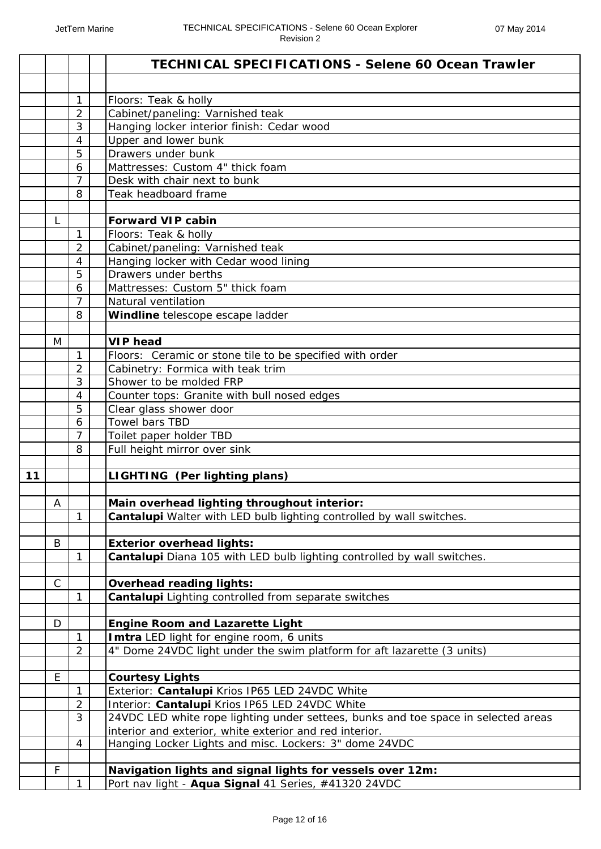|      |              |                | <b>TECHNICAL SPECIFICATIONS - Selene 60 Ocean Trawler</b>                          |
|------|--------------|----------------|------------------------------------------------------------------------------------|
|      |              |                |                                                                                    |
|      |              | $\mathbf{1}$   | Floors: Teak & holly                                                               |
|      |              | $\overline{2}$ | Cabinet/paneling: Varnished teak                                                   |
|      |              | 3              | Hanging locker interior finish: Cedar wood                                         |
|      |              | $\overline{4}$ | Upper and lower bunk                                                               |
|      |              | 5              | Drawers under bunk                                                                 |
|      |              | 6              | Mattresses: Custom 4" thick foam                                                   |
|      |              | $\overline{7}$ | Desk with chair next to bunk                                                       |
|      |              | 8              | Teak headboard frame                                                               |
|      | L            |                | <b>Forward VIP cabin</b>                                                           |
|      |              | $\mathbf{1}$   | Floors: Teak & holly                                                               |
|      |              | $\overline{2}$ |                                                                                    |
|      |              | $\overline{4}$ | Cabinet/paneling: Varnished teak                                                   |
|      |              |                | Hanging locker with Cedar wood lining                                              |
|      |              | 5              | Drawers under berths<br>Mattresses: Custom 5" thick foam                           |
|      |              | 6              |                                                                                    |
|      |              | $\overline{7}$ | Natural ventilation                                                                |
|      |              | 8              | Windline telescope escape ladder                                                   |
|      | M            |                | <b>VIP</b> head                                                                    |
|      |              | $\mathbf{1}$   | Floors: Ceramic or stone tile to be specified with order                           |
|      |              | $\overline{2}$ | Cabinetry: Formica with teak trim                                                  |
|      |              | 3              | Shower to be molded FRP                                                            |
|      |              | $\overline{4}$ | Counter tops: Granite with bull nosed edges                                        |
|      |              | 5              | Clear glass shower door                                                            |
|      |              | 6              | Towel bars TBD                                                                     |
|      |              | $\overline{7}$ | Toilet paper holder TBD                                                            |
|      |              | 8              | Full height mirror over sink                                                       |
|      |              |                |                                                                                    |
| $11$ |              |                | LIGHTING (Per lighting plans)                                                      |
|      |              |                |                                                                                    |
|      | A            |                | Main overhead lighting throughout interior:                                        |
|      |              | 1              | Cantalupi Walter with LED bulb lighting controlled by wall switches.               |
|      |              |                |                                                                                    |
|      | B            |                | <b>Exterior overhead lights:</b>                                                   |
|      |              | 1              | Cantalupi Diana 105 with LED bulb lighting controlled by wall switches.            |
|      | $\mathsf{C}$ |                | <b>Overhead reading lights:</b>                                                    |
|      |              | 1              | Cantalupi Lighting controlled from separate switches                               |
|      |              |                |                                                                                    |
|      | D            |                | <b>Engine Room and Lazarette Light</b>                                             |
|      |              | 1              | Imtra LED light for engine room, 6 units                                           |
|      |              | $\overline{2}$ | 4" Dome 24VDC light under the swim platform for aft lazarette (3 units)            |
|      |              |                |                                                                                    |
|      | E            |                | <b>Courtesy Lights</b>                                                             |
|      |              | 1              | Exterior: Cantalupi Krios IP65 LED 24VDC White                                     |
|      |              | $\overline{2}$ | Interior: Cantalupi Krios IP65 LED 24VDC White                                     |
|      |              | 3              | 24VDC LED white rope lighting under settees, bunks and toe space in selected areas |
|      |              |                | interior and exterior, white exterior and red interior.                            |
|      |              | $\overline{4}$ | Hanging Locker Lights and misc. Lockers: 3" dome 24VDC                             |
|      | F            |                | Navigation lights and signal lights for vessels over 12m:                          |
|      |              | 1              | Port nav light - Aqua Signal 41 Series, #41320 24VDC                               |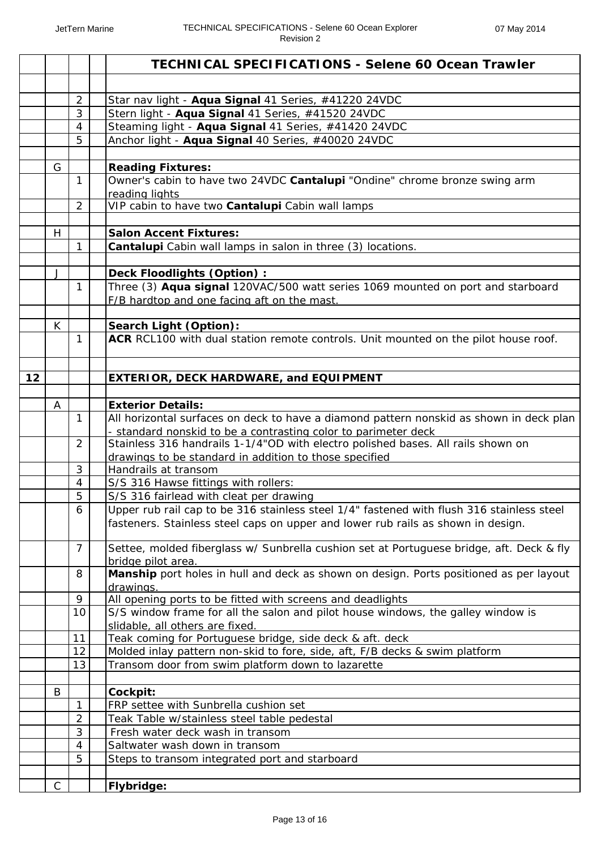|    |             |                | <b>TECHNICAL SPECIFICATIONS - Selene 60 Ocean Trawler</b>                                                                                                                     |
|----|-------------|----------------|-------------------------------------------------------------------------------------------------------------------------------------------------------------------------------|
|    |             |                |                                                                                                                                                                               |
|    |             | $\overline{2}$ | Star nav light - Aqua Signal 41 Series, #41220 24VDC                                                                                                                          |
|    |             | 3              | Stern light - Aqua Signal 41 Series, #41520 24VDC                                                                                                                             |
|    |             | $\overline{4}$ | Steaming light - Aqua Signal 41 Series, #41420 24VDC                                                                                                                          |
|    |             | 5              | Anchor light - Aqua Signal 40 Series, #40020 24VDC                                                                                                                            |
|    |             |                |                                                                                                                                                                               |
|    | G           |                | <b>Reading Fixtures:</b>                                                                                                                                                      |
|    |             | $\mathbf{1}$   | Owner's cabin to have two 24VDC Cantalupi "Ondine" chrome bronze swing arm                                                                                                    |
|    |             |                | reading lights                                                                                                                                                                |
|    |             | $\overline{2}$ | VIP cabin to have two Cantalupi Cabin wall lamps                                                                                                                              |
|    |             |                |                                                                                                                                                                               |
|    | H           |                | <b>Salon Accent Fixtures:</b>                                                                                                                                                 |
|    |             | 1              | Cantalupi Cabin wall lamps in salon in three (3) locations.                                                                                                                   |
|    |             |                |                                                                                                                                                                               |
|    | J           |                | Deck Floodlights (Option) :                                                                                                                                                   |
|    |             | 1              | Three (3) Aqua signal 120VAC/500 watt series 1069 mounted on port and starboard                                                                                               |
|    |             |                | F/B hardtop and one facing aft on the mast.                                                                                                                                   |
|    | K           |                | Search Light (Option):                                                                                                                                                        |
|    |             | 1              | ACR RCL100 with dual station remote controls. Unit mounted on the pilot house roof.                                                                                           |
|    |             |                |                                                                                                                                                                               |
|    |             |                |                                                                                                                                                                               |
| 12 |             |                | <b>EXTERIOR, DECK HARDWARE, and EQUIPMENT</b>                                                                                                                                 |
|    |             |                |                                                                                                                                                                               |
|    | Α           |                | <b>Exterior Details:</b>                                                                                                                                                      |
|    |             | $\mathbf{1}$   | All horizontal surfaces on deck to have a diamond pattern nonskid as shown in deck plan                                                                                       |
|    |             |                | - standard nonskid to be a contrasting color to parimeter deck                                                                                                                |
|    |             | $\overline{2}$ | Stainless 316 handrails 1-1/4"OD with electro polished bases. All rails shown on                                                                                              |
|    |             |                | drawings to be standard in addition to those specified                                                                                                                        |
|    |             | 3              | Handrails at transom                                                                                                                                                          |
|    |             | $\overline{4}$ | S/S 316 Hawse fittings with rollers:                                                                                                                                          |
|    |             | 5              | S/S 316 fairlead with cleat per drawing                                                                                                                                       |
|    |             | 6              | Upper rub rail cap to be 316 stainless steel 1/4" fastened with flush 316 stainless steel<br>fasteners. Stainless steel caps on upper and lower rub rails as shown in design. |
|    |             | $\overline{7}$ | Settee, molded fiberglass w/ Sunbrella cushion set at Portuguese bridge, aft. Deck & fly                                                                                      |
|    |             | 8              | bridge pilot area.<br>Manship port holes in hull and deck as shown on design. Ports positioned as per layout                                                                  |
|    |             |                | drawings.                                                                                                                                                                     |
|    |             | 9              | All opening ports to be fitted with screens and deadlights                                                                                                                    |
|    |             | 10             | S/S window frame for all the salon and pilot house windows, the galley window is<br>slidable, all others are fixed.                                                           |
|    |             | 11             | Teak coming for Portuguese bridge, side deck & aft. deck                                                                                                                      |
|    |             | 12             | Molded inlay pattern non-skid to fore, side, aft, F/B decks & swim platform                                                                                                   |
|    |             | 13             | Transom door from swim platform down to lazarette                                                                                                                             |
|    |             |                |                                                                                                                                                                               |
|    | B           |                | Cockpit:                                                                                                                                                                      |
|    |             | $\mathbf{1}$   | FRP settee with Sunbrella cushion set                                                                                                                                         |
|    |             | $\overline{2}$ | Teak Table w/stainless steel table pedestal                                                                                                                                   |
|    |             | 3              | Fresh water deck wash in transom                                                                                                                                              |
|    |             | $\overline{4}$ | Saltwater wash down in transom                                                                                                                                                |
|    |             | 5              | Steps to transom integrated port and starboard                                                                                                                                |
|    |             |                |                                                                                                                                                                               |
|    | $\mathsf C$ |                | Flybridge:                                                                                                                                                                    |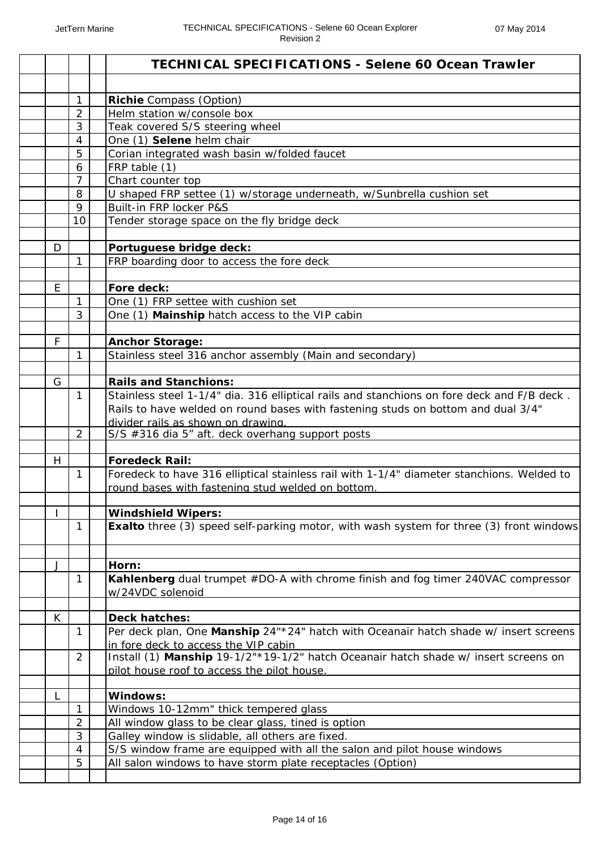|   |                | <b>TECHNICAL SPECIFICATIONS - Selene 60 Ocean Trawler</b>                                      |
|---|----------------|------------------------------------------------------------------------------------------------|
|   |                |                                                                                                |
|   | $\mathbf{1}$   | <b>Richie</b> Compass (Option)                                                                 |
|   | $\overline{2}$ | Helm station w/console box                                                                     |
|   | 3              | Teak covered S/S steering wheel                                                                |
|   | 4              | One (1) Selene helm chair                                                                      |
|   | 5              | Corian integrated wash basin w/folded faucet                                                   |
|   | 6              | FRP table (1)                                                                                  |
|   | $\overline{7}$ | Chart counter top                                                                              |
|   | 8              | U shaped FRP settee (1) w/storage underneath, w/Sunbrella cushion set                          |
|   | 9              | Built-in FRP locker P&S                                                                        |
|   | 10             | Tender storage space on the fly bridge deck                                                    |
| D |                | Portuguese bridge deck:                                                                        |
|   | $\mathbf{1}$   | FRP boarding door to access the fore deck                                                      |
|   |                |                                                                                                |
| E |                | Fore deck:                                                                                     |
|   | $\mathbf{1}$   | One (1) FRP settee with cushion set                                                            |
|   | 3              | One (1) Mainship hatch access to the VIP cabin                                                 |
|   |                |                                                                                                |
| F |                | <b>Anchor Storage:</b>                                                                         |
|   | 1              | Stainless steel 316 anchor assembly (Main and secondary)                                       |
|   |                |                                                                                                |
| G |                | <b>Rails and Stanchions:</b>                                                                   |
|   | $\mathbf{1}$   | Stainless steel 1-1/4" dia. 316 elliptical rails and stanchions on fore deck and F/B deck.     |
|   |                | Rails to have welded on round bases with fastening studs on bottom and dual 3/4"               |
|   |                | divider rails as shown on drawing.                                                             |
|   | $\overline{2}$ | S/S #316 dia 5" aft. deck overhang support posts                                               |
|   |                |                                                                                                |
| H |                | <b>Foredeck Rail:</b>                                                                          |
|   | $\mathbf{1}$   | Foredeck to have 316 elliptical stainless rail with 1-1/4" diameter stanchions. Welded to      |
|   |                | round bases with fastening stud welded on bottom.                                              |
|   |                | <b>Windshield Wipers:</b>                                                                      |
|   | 1              | <b>Exalto</b> three (3) speed self-parking motor, with wash system for three (3) front windows |
|   |                |                                                                                                |
|   |                |                                                                                                |
| J |                | Horn:                                                                                          |
|   | 1              | Kahlenberg dual trumpet #DO-A with chrome finish and fog timer 240VAC compressor               |
|   |                | w/24VDC solenoid                                                                               |
| K |                | <b>Deck hatches:</b>                                                                           |
|   | 1              | Per deck plan, One Manship 24"*24" hatch with Oceanair hatch shade w/ insert screens           |
|   |                | in fore deck to access the VIP cabin                                                           |
|   | 2              | Install (1) Manship 19-1/2"*19-1/2" hatch Oceanair hatch shade w/ insert screens on            |
|   |                | pilot house roof to access the pilot house.                                                    |
|   |                |                                                                                                |
| L |                | Windows:                                                                                       |
|   | 1              | Windows 10-12mm" thick tempered glass                                                          |
|   | $\overline{2}$ | All window glass to be clear glass, tined is option                                            |
|   | 3              | Galley window is slidable, all others are fixed.                                               |
|   | 4              | S/S window frame are equipped with all the salon and pilot house windows                       |
|   | 5              | All salon windows to have storm plate receptacles (Option)                                     |
|   |                |                                                                                                |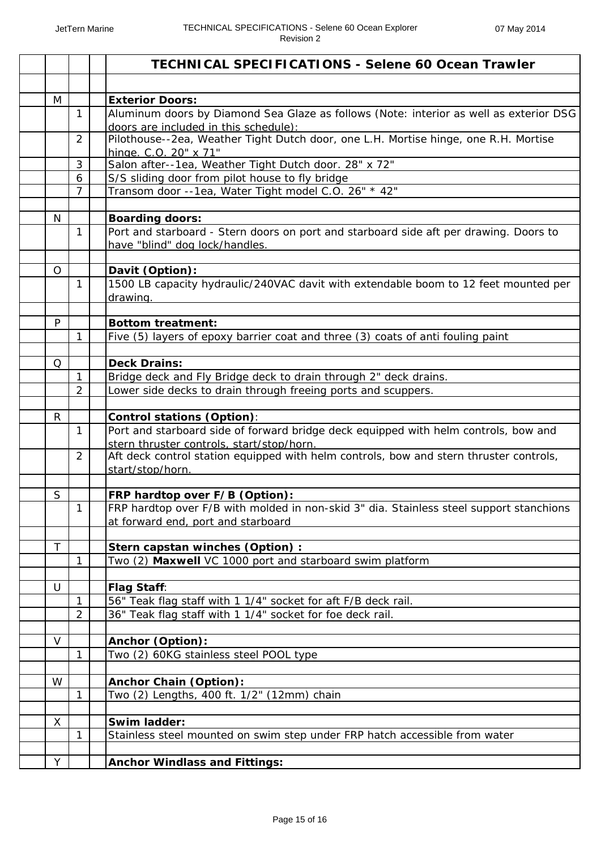|              |                | <b>TECHNICAL SPECIFICATIONS - Selene 60 Ocean Trawler</b>                                                  |
|--------------|----------------|------------------------------------------------------------------------------------------------------------|
|              |                |                                                                                                            |
| M            |                | <b>Exterior Doors:</b>                                                                                     |
|              | 1              | Aluminum doors by Diamond Sea Glaze as follows (Note: interior as well as exterior DSG                     |
|              |                | doors are included in this schedule):                                                                      |
|              | 2              | Pilothouse--2ea, Weather Tight Dutch door, one L.H. Mortise hinge, one R.H. Mortise                        |
|              | 3              | hinge. C.O. 20" x 71"<br>Salon after--1ea, Weather Tight Dutch door. 28" x 72"                             |
|              | 6              | S/S sliding door from pilot house to fly bridge                                                            |
|              | $\overline{7}$ | Transom door --1ea, Water Tight model C.O. 26" * 42"                                                       |
|              |                |                                                                                                            |
| N            |                | <b>Boarding doors:</b>                                                                                     |
|              | 1              | Port and starboard - Stern doors on port and starboard side aft per drawing. Doors to                      |
|              |                | have "blind" dog lock/handles.                                                                             |
|              |                |                                                                                                            |
| O            |                | Davit (Option):                                                                                            |
|              | $\mathbf{1}$   | 1500 LB capacity hydraulic/240VAC davit with extendable boom to 12 feet mounted per                        |
|              |                | drawing.                                                                                                   |
| P            |                | <b>Bottom treatment:</b>                                                                                   |
|              | 1              | Five (5) layers of epoxy barrier coat and three (3) coats of anti fouling paint                            |
|              |                |                                                                                                            |
| Q            |                | <b>Deck Drains:</b>                                                                                        |
|              | 1              | Bridge deck and Fly Bridge deck to drain through 2" deck drains.                                           |
|              | 2              | Lower side decks to drain through freeing ports and scuppers.                                              |
|              |                |                                                                                                            |
| $\mathsf{R}$ |                | Control stations (Option):                                                                                 |
|              | $\mathbf{1}$   | Port and starboard side of forward bridge deck equipped with helm controls, bow and                        |
|              | $\overline{2}$ | stern thruster controls, start/stop/horn.                                                                  |
|              |                | Aft deck control station equipped with helm controls, bow and stern thruster controls,<br>start/stop/horn. |
|              |                |                                                                                                            |
| S            |                | <b>FRP hardtop over F/B (Option):</b>                                                                      |
|              | 1.             | FRP hardtop over F/B with molded in non-skid 3" dia. Stainless steel support stanchions                    |
|              |                | at forward end, port and starboard                                                                         |
|              |                |                                                                                                            |
| $\top$       |                | Stern capstan winches (Option) :                                                                           |
|              | 1              | Two (2) Maxwell VC 1000 port and starboard swim platform                                                   |
| U            |                |                                                                                                            |
|              | 1              | <b>Flag Staff:</b><br>56" Teak flag staff with 1 1/4" socket for aft F/B deck rail.                        |
|              | $\overline{2}$ | 36" Teak flag staff with 1 1/4" socket for foe deck rail.                                                  |
|              |                |                                                                                                            |
| V            |                | Anchor (Option):                                                                                           |
|              | $\mathbf{1}$   | Two (2) 60KG stainless steel POOL type                                                                     |
|              |                |                                                                                                            |
| W            |                | <b>Anchor Chain (Option):</b>                                                                              |
|              | 1              | Two (2) Lengths, 400 ft. 1/2" (12mm) chain                                                                 |
|              |                |                                                                                                            |
| X            |                | Swim ladder:                                                                                               |
|              | 1              | Stainless steel mounted on swim step under FRP hatch accessible from water                                 |
| Y            |                | <b>Anchor Windlass and Fittings:</b>                                                                       |
|              |                |                                                                                                            |